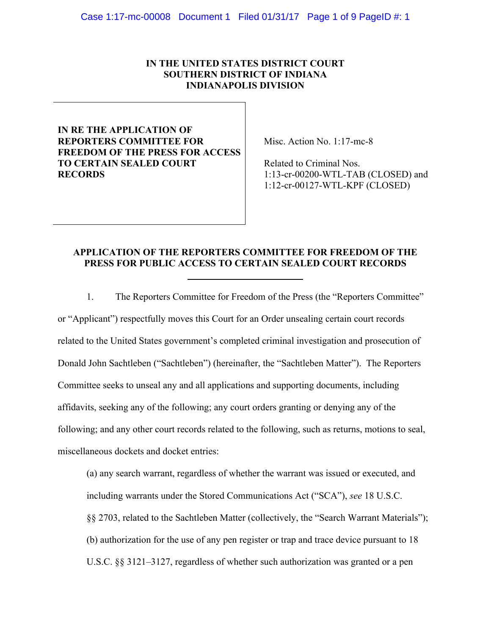# **IN THE UNITED STATES DISTRICT COURT SOUTHERN DISTRICT OF INDIANA INDIANAPOLIS DIVISION**

# **IN RE THE APPLICATION OF REPORTERS COMMITTEE FOR FREEDOM OF THE PRESS FOR ACCESS TO CERTAIN SEALED COURT RECORDS**

Misc. Action No. 1:17-mc-8

 Related to Criminal Nos. 1:13-cr-00200-WTL-TAB (CLOSED) and 1:12-cr-00127-WTL-KPF (CLOSED)

# **APPLICATION OF THE REPORTERS COMMITTEE FOR FREEDOM OF THE PRESS FOR PUBLIC ACCESS TO CERTAIN SEALED COURT RECORDS**

1. The Reporters Committee for Freedom of the Press (the "Reporters Committee" or "Applicant") respectfully moves this Court for an Order unsealing certain court records related to the United States government's completed criminal investigation and prosecution of Donald John Sachtleben ("Sachtleben") (hereinafter, the "Sachtleben Matter"). The Reporters Committee seeks to unseal any and all applications and supporting documents, including affidavits, seeking any of the following; any court orders granting or denying any of the following; and any other court records related to the following, such as returns, motions to seal, miscellaneous dockets and docket entries:

(a) any search warrant, regardless of whether the warrant was issued or executed, and including warrants under the Stored Communications Act ("SCA"), *see* 18 U.S.C. §§ 2703, related to the Sachtleben Matter (collectively, the "Search Warrant Materials"); (b) authorization for the use of any pen register or trap and trace device pursuant to 18 U.S.C. §§ 3121–3127, regardless of whether such authorization was granted or a pen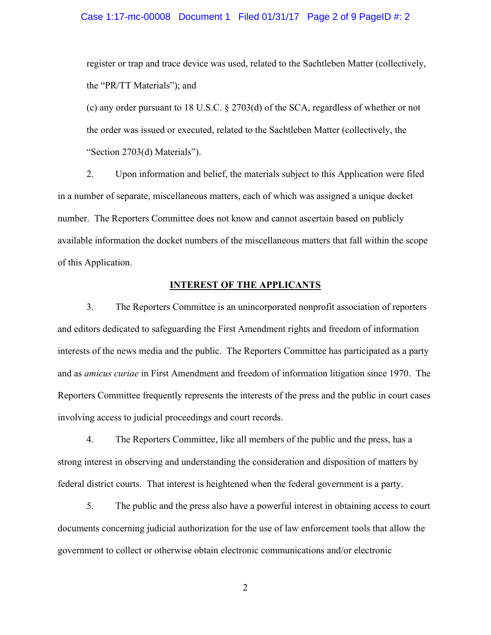## Case 1:17-mc-00008 Document 1 Filed 01/31/17 Page 2 of 9 PageID #: 2

register or trap and trace device was used, related to the Sachtleben Matter (collectively, the "PR/TT Materials"); and

(c) any order pursuant to 18 U.S.C. § 2703(d) of the SCA, regardless of whether or not the order was issued or executed, related to the Sachtleben Matter (collectively, the "Section 2703(d) Materials").

2. Upon information and belief, the materials subject to this Application were filed in a number of separate, miscellaneous matters, each of which was assigned a unique docket number. The Reporters Committee does not know and cannot ascertain based on publicly available information the docket numbers of the miscellaneous matters that fall within the scope of this Application.

# **INTEREST OF THE APPLICANTS**

3. The Reporters Committee is an unincorporated nonprofit association of reporters and editors dedicated to safeguarding the First Amendment rights and freedom of information interests of the news media and the public. The Reporters Committee has participated as a party and as *amicus curiae* in First Amendment and freedom of information litigation since 1970. The Reporters Committee frequently represents the interests of the press and the public in court cases involving access to judicial proceedings and court records.

4. The Reporters Committee, like all members of the public and the press, has a strong interest in observing and understanding the consideration and disposition of matters by federal district courts. That interest is heightened when the federal government is a party.

5. The public and the press also have a powerful interest in obtaining access to court documents concerning judicial authorization for the use of law enforcement tools that allow the government to collect or otherwise obtain electronic communications and/or electronic

2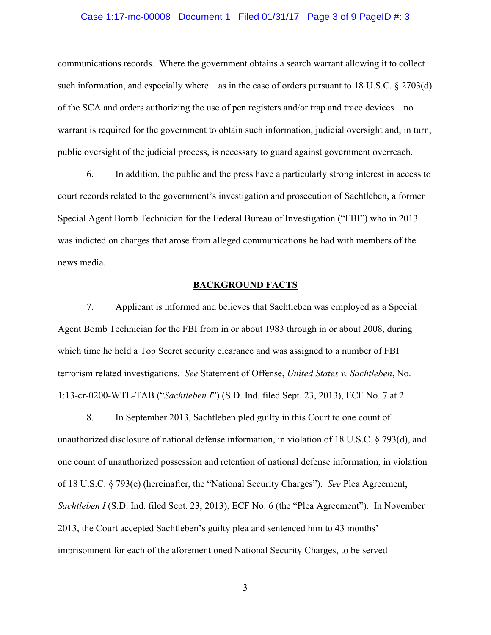## Case 1:17-mc-00008 Document 1 Filed 01/31/17 Page 3 of 9 PageID #: 3

communications records. Where the government obtains a search warrant allowing it to collect such information, and especially where—as in the case of orders pursuant to 18 U.S.C. § 2703(d) of the SCA and orders authorizing the use of pen registers and/or trap and trace devices—no warrant is required for the government to obtain such information, judicial oversight and, in turn, public oversight of the judicial process, is necessary to guard against government overreach.

6. In addition, the public and the press have a particularly strong interest in access to court records related to the government's investigation and prosecution of Sachtleben, a former Special Agent Bomb Technician for the Federal Bureau of Investigation ("FBI") who in 2013 was indicted on charges that arose from alleged communications he had with members of the news media.

# **BACKGROUND FACTS**

7. Applicant is informed and believes that Sachtleben was employed as a Special Agent Bomb Technician for the FBI from in or about 1983 through in or about 2008, during which time he held a Top Secret security clearance and was assigned to a number of FBI terrorism related investigations. *See* Statement of Offense, *United States v. Sachtleben*, No. 1:13-cr-0200-WTL-TAB ("*Sachtleben I*") (S.D. Ind. filed Sept. 23, 2013), ECF No. 7 at 2.

8. In September 2013, Sachtleben pled guilty in this Court to one count of unauthorized disclosure of national defense information, in violation of 18 U.S.C. § 793(d), and one count of unauthorized possession and retention of national defense information, in violation of 18 U.S.C. § 793(e) (hereinafter, the "National Security Charges"). *See* Plea Agreement, *Sachtleben I* (S.D. Ind. filed Sept. 23, 2013), ECF No. 6 (the "Plea Agreement"). In November 2013, the Court accepted Sachtleben's guilty plea and sentenced him to 43 months' imprisonment for each of the aforementioned National Security Charges, to be served

3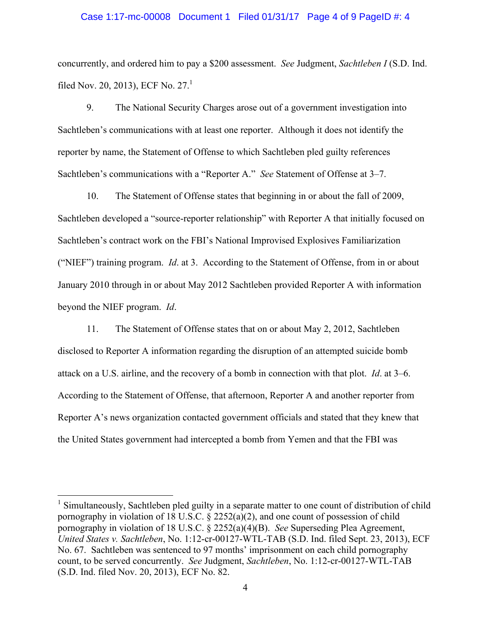#### Case 1:17-mc-00008 Document 1 Filed 01/31/17 Page 4 of 9 PageID #: 4

concurrently, and ordered him to pay a \$200 assessment. *See* Judgment, *Sachtleben I* (S.D. Ind. filed Nov. 20, 2013), ECF No. 27.<sup>1</sup>

9. The National Security Charges arose out of a government investigation into Sachtleben's communications with at least one reporter. Although it does not identify the reporter by name, the Statement of Offense to which Sachtleben pled guilty references Sachtleben's communications with a "Reporter A." *See* Statement of Offense at 3–7.

10. The Statement of Offense states that beginning in or about the fall of 2009, Sachtleben developed a "source-reporter relationship" with Reporter A that initially focused on Sachtleben's contract work on the FBI's National Improvised Explosives Familiarization ("NIEF") training program. *Id*. at 3. According to the Statement of Offense, from in or about January 2010 through in or about May 2012 Sachtleben provided Reporter A with information beyond the NIEF program. *Id*.

11. The Statement of Offense states that on or about May 2, 2012, Sachtleben disclosed to Reporter A information regarding the disruption of an attempted suicide bomb attack on a U.S. airline, and the recovery of a bomb in connection with that plot. *Id*. at 3–6. According to the Statement of Offense, that afternoon, Reporter A and another reporter from Reporter A's news organization contacted government officials and stated that they knew that the United States government had intercepted a bomb from Yemen and that the FBI was

<sup>&</sup>lt;sup>1</sup> Simultaneously, Sachtleben pled guilty in a separate matter to one count of distribution of child pornography in violation of 18 U.S.C. § 2252(a)(2), and one count of possession of child pornography in violation of 18 U.S.C. § 2252(a)(4)(B). *See* Superseding Plea Agreement, *United States v. Sachtleben*, No. 1:12-cr-00127-WTL-TAB (S.D. Ind. filed Sept. 23, 2013), ECF No. 67. Sachtleben was sentenced to 97 months' imprisonment on each child pornography count, to be served concurrently. *See* Judgment, *Sachtleben*, No. 1:12-cr-00127-WTL-TAB (S.D. Ind. filed Nov. 20, 2013), ECF No. 82.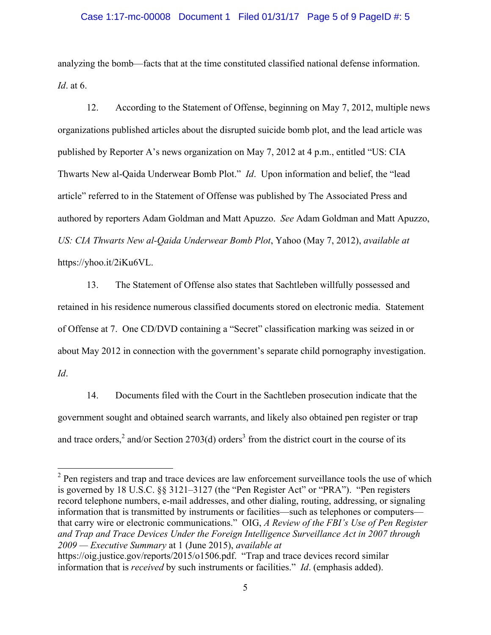# Case 1:17-mc-00008 Document 1 Filed 01/31/17 Page 5 of 9 PageID #: 5

analyzing the bomb—facts that at the time constituted classified national defense information. *Id*. at 6.

12. According to the Statement of Offense, beginning on May 7, 2012, multiple news organizations published articles about the disrupted suicide bomb plot, and the lead article was published by Reporter A's news organization on May 7, 2012 at 4 p.m., entitled "US: CIA Thwarts New al-Qaida Underwear Bomb Plot." *Id*. Upon information and belief, the "lead article" referred to in the Statement of Offense was published by The Associated Press and authored by reporters Adam Goldman and Matt Apuzzo. *See* Adam Goldman and Matt Apuzzo, *US: CIA Thwarts New al-Qaida Underwear Bomb Plot*, Yahoo (May 7, 2012), *available at* https://yhoo.it/2iKu6VL.

13. The Statement of Offense also states that Sachtleben willfully possessed and retained in his residence numerous classified documents stored on electronic media. Statement of Offense at 7. One CD/DVD containing a "Secret" classification marking was seized in or about May 2012 in connection with the government's separate child pornography investigation. *Id*.

14. Documents filed with the Court in the Sachtleben prosecution indicate that the government sought and obtained search warrants, and likely also obtained pen register or trap and trace orders,<sup>2</sup> and/or Section 2703(d) orders<sup>3</sup> from the district court in the course of its

<sup>&</sup>lt;sup>2</sup> Pen registers and trap and trace devices are law enforcement surveillance tools the use of which is governed by 18 U.S.C. §§ 3121–3127 (the "Pen Register Act" or "PRA"). "Pen registers record telephone numbers, e-mail addresses, and other dialing, routing, addressing, or signaling information that is transmitted by instruments or facilities—such as telephones or computers that carry wire or electronic communications." OIG, *A Review of the FBI's Use of Pen Register and Trap and Trace Devices Under the Foreign Intelligence Surveillance Act in 2007 through 2009 — Executive Summary* at 1 (June 2015), *available at* https://oig.justice.gov/reports/2015/o1506.pdf. "Trap and trace devices record similar

information that is *received* by such instruments or facilities." *Id*. (emphasis added).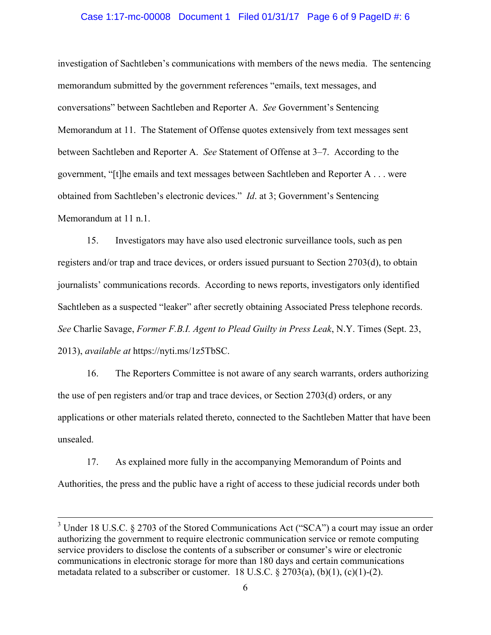#### Case 1:17-mc-00008 Document 1 Filed 01/31/17 Page 6 of 9 PageID #: 6

investigation of Sachtleben's communications with members of the news media. The sentencing memorandum submitted by the government references "emails, text messages, and conversations" between Sachtleben and Reporter A. *See* Government's Sentencing Memorandum at 11. The Statement of Offense quotes extensively from text messages sent between Sachtleben and Reporter A. *See* Statement of Offense at 3–7. According to the government, "[t]he emails and text messages between Sachtleben and Reporter A . . . were obtained from Sachtleben's electronic devices." *Id*. at 3; Government's Sentencing Memorandum at 11 n.1.

15. Investigators may have also used electronic surveillance tools, such as pen registers and/or trap and trace devices, or orders issued pursuant to Section 2703(d), to obtain journalists' communications records. According to news reports, investigators only identified Sachtleben as a suspected "leaker" after secretly obtaining Associated Press telephone records. *See* Charlie Savage, *Former F.B.I. Agent to Plead Guilty in Press Leak*, N.Y. Times (Sept. 23, 2013), *available at* https://nyti.ms/1z5TbSC.

16. The Reporters Committee is not aware of any search warrants, orders authorizing the use of pen registers and/or trap and trace devices, or Section 2703(d) orders, or any applications or other materials related thereto, connected to the Sachtleben Matter that have been unsealed.

17. As explained more fully in the accompanying Memorandum of Points and Authorities, the press and the public have a right of access to these judicial records under both

 $3$  Under 18 U.S.C. § 2703 of the Stored Communications Act ("SCA") a court may issue an order authorizing the government to require electronic communication service or remote computing service providers to disclose the contents of a subscriber or consumer's wire or electronic communications in electronic storage for more than 180 days and certain communications metadata related to a subscriber or customer. 18 U.S.C.  $\S 2703(a)$ , (b)(1), (c)(1)-(2).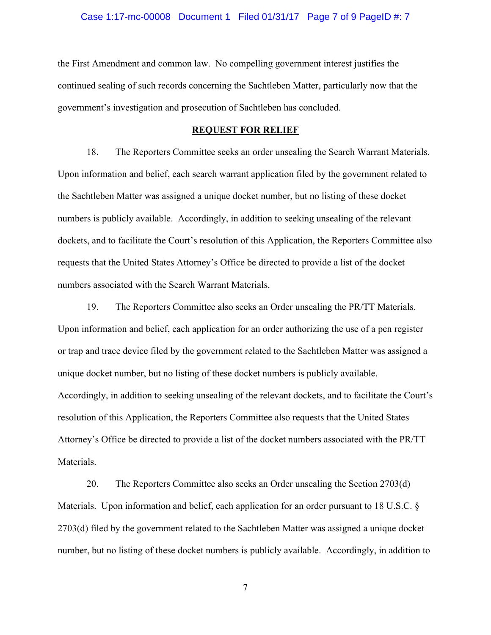## Case 1:17-mc-00008 Document 1 Filed 01/31/17 Page 7 of 9 PageID #: 7

the First Amendment and common law. No compelling government interest justifies the continued sealing of such records concerning the Sachtleben Matter, particularly now that the government's investigation and prosecution of Sachtleben has concluded.

# **REQUEST FOR RELIEF**

18. The Reporters Committee seeks an order unsealing the Search Warrant Materials. Upon information and belief, each search warrant application filed by the government related to the Sachtleben Matter was assigned a unique docket number, but no listing of these docket numbers is publicly available. Accordingly, in addition to seeking unsealing of the relevant dockets, and to facilitate the Court's resolution of this Application, the Reporters Committee also requests that the United States Attorney's Office be directed to provide a list of the docket numbers associated with the Search Warrant Materials.

19. The Reporters Committee also seeks an Order unsealing the PR/TT Materials. Upon information and belief, each application for an order authorizing the use of a pen register or trap and trace device filed by the government related to the Sachtleben Matter was assigned a unique docket number, but no listing of these docket numbers is publicly available. Accordingly, in addition to seeking unsealing of the relevant dockets, and to facilitate the Court's resolution of this Application, the Reporters Committee also requests that the United States Attorney's Office be directed to provide a list of the docket numbers associated with the PR/TT Materials.

20. The Reporters Committee also seeks an Order unsealing the Section 2703(d) Materials. Upon information and belief, each application for an order pursuant to 18 U.S.C. § 2703(d) filed by the government related to the Sachtleben Matter was assigned a unique docket number, but no listing of these docket numbers is publicly available. Accordingly, in addition to

7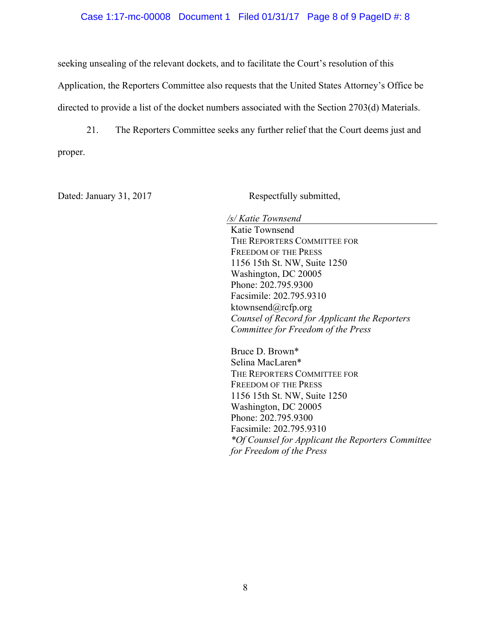## Case 1:17-mc-00008 Document 1 Filed 01/31/17 Page 8 of 9 PageID #: 8

seeking unsealing of the relevant dockets, and to facilitate the Court's resolution of this Application, the Reporters Committee also requests that the United States Attorney's Office be directed to provide a list of the docket numbers associated with the Section 2703(d) Materials.

21. The Reporters Committee seeks any further relief that the Court deems just and proper.

Dated: January 31, 2017 Respectfully submitted,

*/s/ Katie Townsend* 

Katie Townsend THE REPORTERS COMMITTEE FOR FREEDOM OF THE PRESS 1156 15th St. NW, Suite 1250 Washington, DC 20005 Phone: 202.795.9300 Facsimile: 202.795.9310 ktownsend@rcfp.org *Counsel of Record for Applicant the Reporters Committee for Freedom of the Press*

Bruce D. Brown\* Selina MacLaren\* THE REPORTERS COMMITTEE FOR FREEDOM OF THE PRESS 1156 15th St. NW, Suite 1250 Washington, DC 20005 Phone: 202.795.9300 Facsimile: 202.795.9310 *\*Of Counsel for Applicant the Reporters Committee for Freedom of the Press*